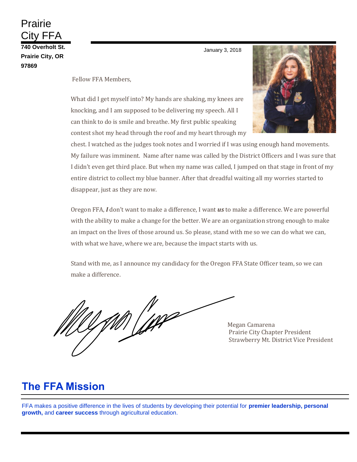Prairie City FFA **740 Overholt St. Prairie City, OR 97869**

January 3, 2018

Fellow FFA Members,

What did I get myself into? My hands are shaking, my knees are knocking, and I am supposed to be delivering my speech. All I can think to do is smile and breathe. My first public speaking contest shot my head through the roof and my heart through my

chest. I watched as the judges took notes and I worried if I was using enough hand movements. My failure was imminent. Name after name was called by the District Officers and I was sure that I didn't even get third place. But when my name was called, I jumped on that stage in front of my entire district to collect my blue banner. After that dreadful waiting all my worries started to disappear, just as they are now.

Oregon FFA, *I* don't want to make a difference, I want *us* to make a difference. We are powerful with the ability to make a change for the better. We are an organization strong enough to make an impact on the lives of those around us. So please, stand with me so we can do what we can, with what we have, where we are, because the impact starts with us.

Stand with me, as I announce my candidacy for the Oregon FFA State Officer team, so we can make a difference.

 Megan Camarena Prairie City Chapter President Strawberry Mt. District Vice President

# **The FFA Mission**

FFA makes a positive difference in the lives of students by developing their potential for **premier leadership, personal growth,** and **career success** through agricultural education.